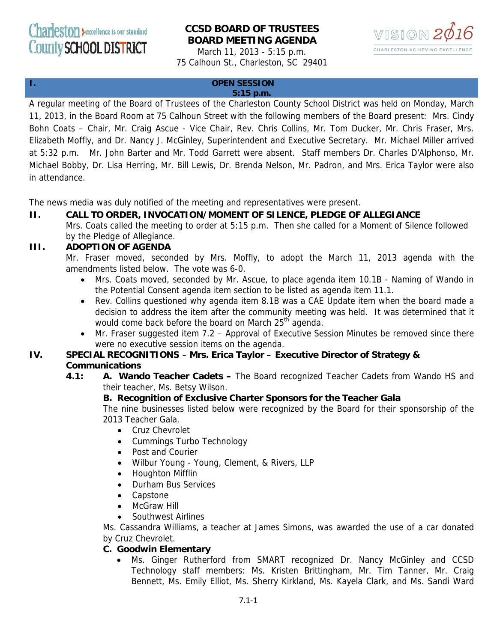# **CCSD BOARD OF TRUSTEES BOARD MEETING AGENDA**

March 11, 2013 - 5:15 p.m. 75 Calhoun St., Charleston, SC 29401



# **I. OPEN SESSION**

#### **5:15 p.m.**

A regular meeting of the Board of Trustees of the Charleston County School District was held on Monday, March 11, 2013, in the Board Room at 75 Calhoun Street with the following members of the Board present: Mrs. Cindy Bohn Coats – Chair, Mr. Craig Ascue - Vice Chair, Rev. Chris Collins, Mr. Tom Ducker, Mr. Chris Fraser, Mrs. Elizabeth Moffly, and Dr. Nancy J. McGinley, Superintendent and Executive Secretary. Mr. Michael Miller arrived at 5:32 p.m. Mr. John Barter and Mr. Todd Garrett were absent. Staff members Dr. Charles D'Alphonso, Mr. Michael Bobby, Dr. Lisa Herring, Mr. Bill Lewis, Dr. Brenda Nelson, Mr. Padron, and Mrs. Erica Taylor were also in attendance.

The news media was duly notified of the meeting and representatives were present.

### **II. CALL TO ORDER, INVOCATION/MOMENT OF SILENCE, PLEDGE OF ALLEGIANCE**

Mrs. Coats called the meeting to order at 5:15 p.m. Then she called for a Moment of Silence followed by the Pledge of Allegiance.

# **III. ADOPTION OF AGENDA**

Mr. Fraser moved, seconded by Mrs. Moffly, to adopt the March 11, 2013 agenda with the amendments listed below. The vote was 6-0.

- Mrs. Coats moved, seconded by Mr. Ascue, to place agenda item 10.1B Naming of Wando in the Potential Consent agenda item section to be listed as agenda item 11.1.
- Rev. Collins questioned why agenda item 8.1B was a CAE Update item when the board made a decision to address the item after the community meeting was held. It was determined that it would come back before the board on March 25<sup>th</sup> agenda.
- Mr. Fraser suggested item 7.2 Approval of Executive Session Minutes be removed since there were no executive session items on the agenda.

# **IV. SPECIAL RECOGNITIONS** – **Mrs. Erica Taylor – Executive Director of Strategy & Communications**

**4.1: A. Wando Teacher Cadets –** The Board recognized Teacher Cadets from Wando HS and their teacher, Ms. Betsy Wilson.

### **B. Recognition of Exclusive Charter Sponsors for the Teacher Gala**

The nine businesses listed below were recognized by the Board for their sponsorship of the 2013 Teacher Gala.

- Cruz Chevrolet
- Cummings Turbo Technology
- Post and Courier
- Wilbur Young Young, Clement, & Rivers, LLP
- Houghton Mifflin
- Durham Bus Services
- Capstone
- McGraw Hill
- Southwest Airlines

Ms. Cassandra Williams, a teacher at James Simons, was awarded the use of a car donated by Cruz Chevrolet.

### **C. Goodwin Elementary**

• Ms. Ginger Rutherford from SMART recognized Dr. Nancy McGinley and CCSD Technology staff members: Ms. Kristen Brittingham, Mr. Tim Tanner, Mr. Craig Bennett, Ms. Emily Elliot, Ms. Sherry Kirkland, Ms. Kayela Clark, and Ms. Sandi Ward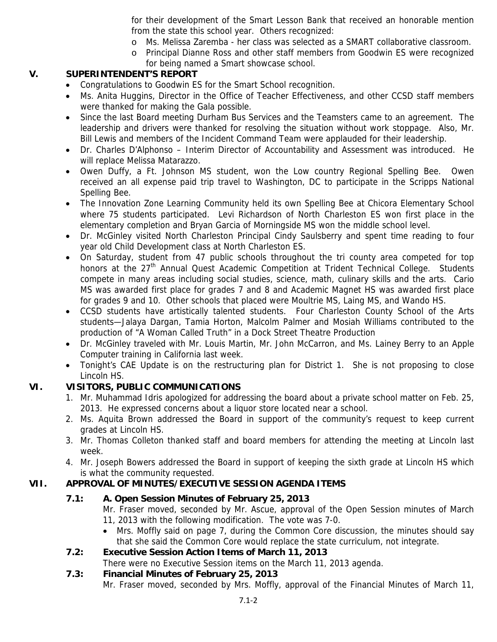for their development of the Smart Lesson Bank that received an honorable mention from the state this school year. Others recognized:

- o Ms. Melissa Zaremba her class was selected as a SMART collaborative classroom.
- o Principal Dianne Ross and other staff members from Goodwin ES were recognized for being named a Smart showcase school.

# **V. SUPERINTENDENT'S REPORT**

- Congratulations to Goodwin ES for the Smart School recognition.
- Ms. Anita Huggins, Director in the Office of Teacher Effectiveness, and other CCSD staff members were thanked for making the Gala possible.
- Since the last Board meeting Durham Bus Services and the Teamsters came to an agreement. The leadership and drivers were thanked for resolving the situation without work stoppage. Also, Mr. Bill Lewis and members of the Incident Command Team were applauded for their leadership.
- Dr. Charles D'Alphonso Interim Director of Accountability and Assessment was introduced. He will replace Melissa Matarazzo.
- Owen Duffy, a Ft. Johnson MS student, won the Low country Regional Spelling Bee. Owen received an all expense paid trip travel to Washington, DC to participate in the Scripps National Spelling Bee.
- The Innovation Zone Learning Community held its own Spelling Bee at Chicora Elementary School where 75 students participated. Levi Richardson of North Charleston ES won first place in the elementary completion and Bryan Garcia of Morningside MS won the middle school level.
- Dr. McGinley visited North Charleston Principal Cindy Saulsberry and spent time reading to four year old Child Development class at North Charleston ES.
- On Saturday, student from 47 public schools throughout the tri county area competed for top honors at the 27<sup>th</sup> Annual Quest Academic Competition at Trident Technical College. Students compete in many areas including social studies, science, math, culinary skills and the arts. Cario MS was awarded first place for grades 7 and 8 and Academic Magnet HS was awarded first place for grades 9 and 10. Other schools that placed were Moultrie MS, Laing MS, and Wando HS.
- CCSD students have artistically talented students. Four Charleston County School of the Arts students—Jalaya Dargan, Tamia Horton, Malcolm Palmer and Mosiah Williams contributed to the production of "A Woman Called Truth" in a Dock Street Theatre Production
- Dr. McGinley traveled with Mr. Louis Martin, Mr. John McCarron, and Ms. Lainey Berry to an Apple Computer training in California last week.
- Tonight's CAE Update is on the restructuring plan for District 1. She is not proposing to close Lincoln HS.

# **VI. VISITORS, PUBLIC COMMUNICATIONS**

- 1. Mr. Muhammad Idris apologized for addressing the board about a private school matter on Feb. 25, 2013. He expressed concerns about a liquor store located near a school.
- 2. Ms. Aquita Brown addressed the Board in support of the community's request to keep current grades at Lincoln HS.
- 3. Mr. Thomas Colleton thanked staff and board members for attending the meeting at Lincoln last week.
- 4. Mr. Joseph Bowers addressed the Board in support of keeping the sixth grade at Lincoln HS which is what the community requested.

# **VII. APPROVAL OF MINUTES/EXECUTIVE SESSION AGENDA ITEMS**

# **7.1: A. Open Session Minutes of February 25, 2013**

- Mr. Fraser moved, seconded by Mr. Ascue, approval of the Open Session minutes of March 11, 2013 with the following modification. The vote was 7-0.
- Mrs. Moffly said on page 7, during the Common Core discussion, the minutes should say that she said the Common Core would replace the state curriculum, not integrate.
- **7.2: Executive Session Action Items of March 11, 2013** There were no Executive Session items on the March 11, 2013 agenda.

# **7.3: Financial Minutes of February 25, 2013**

Mr. Fraser moved, seconded by Mrs. Moffly, approval of the Financial Minutes of March 11,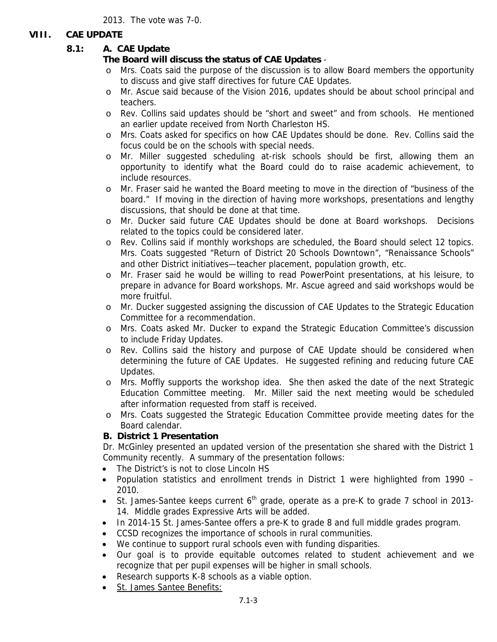2013. The vote was 7-0.

### **VIII. CAE UPDATE**

# **8.1: A. CAE Update**

# **The Board will discuss the status of CAE Updates** -

- o Mrs. Coats said the purpose of the discussion is to allow Board members the opportunity to discuss and give staff directives for future CAE Updates.
- o Mr. Ascue said because of the Vision 2016, updates should be about school principal and teachers.
- o Rev. Collins said updates should be "short and sweet" and from schools. He mentioned an earlier update received from North Charleston HS.
- o Mrs. Coats asked for specifics on how CAE Updates should be done. Rev. Collins said the focus could be on the schools with special needs.
- o Mr. Miller suggested scheduling at-risk schools should be first, allowing them an opportunity to identify what the Board could do to raise academic achievement, to include resources.
- o Mr. Fraser said he wanted the Board meeting to move in the direction of "business of the board." If moving in the direction of having more workshops, presentations and lengthy discussions, that should be done at that time.
- o Mr. Ducker said future CAE Updates should be done at Board workshops. Decisions related to the topics could be considered later.
- o Rev. Collins said if monthly workshops are scheduled, the Board should select 12 topics. Mrs. Coats suggested "Return of District 20 Schools Downtown", "Renaissance Schools" and other District initiatives—teacher placement, population growth, etc.
- o Mr. Fraser said he would be willing to read PowerPoint presentations, at his leisure, to prepare in advance for Board workshops. Mr. Ascue agreed and said workshops would be more fruitful.
- o Mr. Ducker suggested assigning the discussion of CAE Updates to the Strategic Education Committee for a recommendation.
- o Mrs. Coats asked Mr. Ducker to expand the Strategic Education Committee's discussion to include Friday Updates.
- o Rev. Collins said the history and purpose of CAE Update should be considered when determining the future of CAE Updates. He suggested refining and reducing future CAE Updates.
- o Mrs. Moffly supports the workshop idea. She then asked the date of the next Strategic Education Committee meeting. Mr. Miller said the next meeting would be scheduled after information requested from staff is received.
- o Mrs. Coats suggested the Strategic Education Committee provide meeting dates for the Board calendar.

# **B. District 1 Presentation**

Dr. McGinley presented an updated version of the presentation she shared with the District 1 Community recently. A summary of the presentation follows:

- The District's is not to close Lincoln HS
- Population statistics and enrollment trends in District 1 were highlighted from 1990 2010.
- St. James-Santee keeps current  $6<sup>th</sup>$  grade, operate as a pre-K to grade 7 school in 2013-14. Middle grades Expressive Arts will be added.
- In 2014-15 St. James-Santee offers a pre-K to grade 8 and full middle grades program.
- CCSD recognizes the importance of schools in rural communities.
- We continue to support rural schools even with funding disparities.
- Our goal is to provide equitable outcomes related to student achievement and we recognize that per pupil expenses will be higher in small schools.
- Research supports K-8 schools as a viable option.
- St. James Santee Benefits: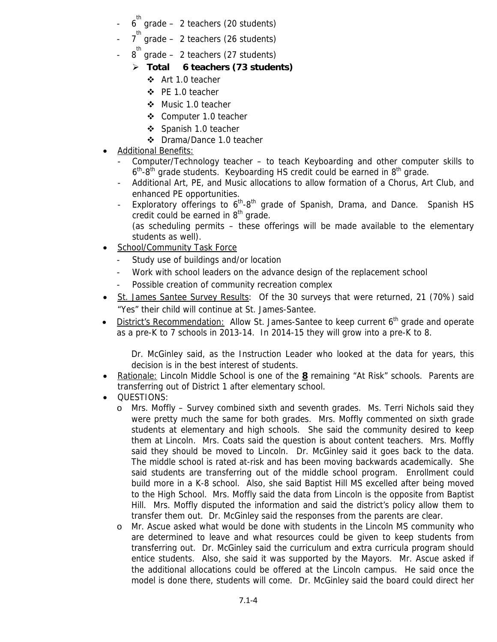- $6^{\text{th}}$ grade – 2 teachers (20 students)
- $7^{th}$  grade 2 teachers (26 students)
- 8 grade 2 teachers (27 students) th
	- ¾ **Total 6 teachers (73 students)** 
		- Art 1.0 teacher
		- $\div$  PE 1.0 teacher
		- ❖ Music 1.0 teacher
		- Computer 1.0 teacher
		- ❖ Spanish 1.0 teacher
		- Drama/Dance 1.0 teacher
- Additional Benefits:
	- Computer/Technology teacher to teach Keyboarding and other computer skills to  $6<sup>th</sup>$ -8<sup>th</sup> grade students. Keyboarding HS credit could be earned in  $8<sup>th</sup>$  grade.
	- Additional Art, PE, and Music allocations to allow formation of a Chorus, Art Club, and enhanced PE opportunities.
	- Exploratory offerings to  $6<sup>th</sup>-8<sup>th</sup>$  grade of Spanish, Drama, and Dance. Spanish HS credit could be earned in  $8<sup>th</sup>$  grade. (as scheduling permits – these offerings will be made available to the elementary
- students as well). • School/Community Task Force
	- Study use of buildings and/or location
		- Work with school leaders on the advance design of the replacement school
		- Possible creation of community recreation complex
- St. James Santee Survey Results: Of the 30 surveys that were returned, 21 (70%) said "Yes" their child will continue at St. James-Santee.
- District's Recommendation: Allow St. James-Santee to keep current  $6<sup>th</sup>$  grade and operate as a pre-K to 7 schools in 2013-14. In 2014-15 they will grow into a pre-K to 8.

Dr. McGinley said, as the Instruction Leader who looked at the data for years, this decision is in the best interest of students.

- Rationale: Lincoln Middle School is one of the **8** remaining "At Risk" schools. Parents are transferring out of District 1 after elementary school.
- QUESTIONS:
	- o Mrs. Moffly Survey combined sixth and seventh grades. Ms. Terri Nichols said they were pretty much the same for both grades. Mrs. Moffly commented on sixth grade students at elementary and high schools. She said the community desired to keep them at Lincoln. Mrs. Coats said the question is about content teachers. Mrs. Moffly said they should be moved to Lincoln. Dr. McGinley said it goes back to the data. The middle school is rated at-risk and has been moving backwards academically. She said students are transferring out of the middle school program. Enrollment could build more in a K-8 school. Also, she said Baptist Hill MS excelled after being moved to the High School. Mrs. Moffly said the data from Lincoln is the opposite from Baptist Hill. Mrs. Moffly disputed the information and said the district's policy allow them to transfer them out. Dr. McGinley said the responses from the parents are clear.
	- o Mr. Ascue asked what would be done with students in the Lincoln MS community who are determined to leave and what resources could be given to keep students from transferring out. Dr. McGinley said the curriculum and extra curricula program should entice students. Also, she said it was supported by the Mayors. Mr. Ascue asked if the additional allocations could be offered at the Lincoln campus. He said once the model is done there, students will come. Dr. McGinley said the board could direct her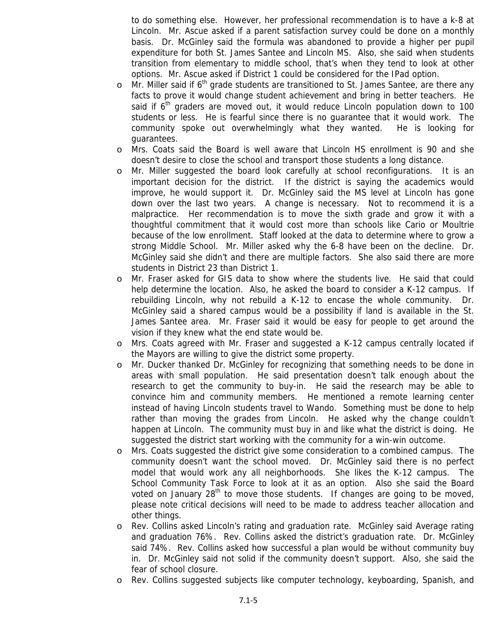to do something else. However, her professional recommendation is to have a k-8 at Lincoln. Mr. Ascue asked if a parent satisfaction survey could be done on a monthly basis. Dr. McGinley said the formula was abandoned to provide a higher per pupil expenditure for both St. James Santee and Lincoln MS. Also, she said when students transition from elementary to middle school, that's when they tend to look at other options. Mr. Ascue asked if District 1 could be considered for the IPad option.

- o Mr. Miller said if  $6<sup>th</sup>$  grade students are transitioned to St. James Santee, are there any facts to prove it would change student achievement and bring in better teachers. He said if  $6<sup>th</sup>$  graders are moved out, it would reduce Lincoln population down to 100 students or less. He is fearful since there is no guarantee that it would work. The community spoke out overwhelmingly what they wanted. He is looking for guarantees.
- o Mrs. Coats said the Board is well aware that Lincoln HS enrollment is 90 and she doesn't desire to close the school and transport those students a long distance.
- o Mr. Miller suggested the board look carefully at school reconfigurations. It is an important decision for the district. If the district is saying the academics would improve, he would support it. Dr. McGinley said the MS level at Lincoln has gone down over the last two years. A change is necessary. Not to recommend it is a malpractice. Her recommendation is to move the sixth grade and grow it with a thoughtful commitment that it would cost more than schools like Cario or Moultrie because of the low enrollment. Staff looked at the data to determine where to grow a strong Middle School. Mr. Miller asked why the 6-8 have been on the decline. Dr. McGinley said she didn't and there are multiple factors. She also said there are more students in District 23 than District 1.
- o Mr. Fraser asked for GIS data to show where the students live. He said that could help determine the location. Also, he asked the board to consider a K-12 campus. If rebuilding Lincoln, why not rebuild a K-12 to encase the whole community. Dr. McGinley said a shared campus would be a possibility if land is available in the St. James Santee area. Mr. Fraser said it would be easy for people to get around the vision if they knew what the end state would be.
- o Mrs. Coats agreed with Mr. Fraser and suggested a K-12 campus centrally located if the Mayors are willing to give the district some property.
- o Mr. Ducker thanked Dr. McGinley for recognizing that something needs to be done in areas with small population. He said presentation doesn't talk enough about the research to get the community to buy-in. He said the research may be able to convince him and community members. He mentioned a remote learning center instead of having Lincoln students travel to Wando. Something must be done to help rather than moving the grades from Lincoln. He asked why the change couldn't happen at Lincoln. The community must buy in and like what the district is doing. He suggested the district start working with the community for a win-win outcome.
- o Mrs. Coats suggested the district give some consideration to a combined campus. The community doesn't want the school moved. Dr. McGinley said there is no perfect model that would work any all neighborhoods. She likes the K-12 campus. The School Community Task Force to look at it as an option. Also she said the Board voted on January  $28<sup>th</sup>$  to move those students. If changes are going to be moved, please note critical decisions will need to be made to address teacher allocation and other things.
- o Rev. Collins asked Lincoln's rating and graduation rate. McGinley said Average rating and graduation 76%. Rev. Collins asked the district's graduation rate. Dr. McGinley said 74%. Rev. Collins asked how successful a plan would be without community buy in. Dr. McGinley said not solid if the community doesn't support. Also, she said the fear of school closure.
- o Rev. Collins suggested subjects like computer technology, keyboarding, Spanish, and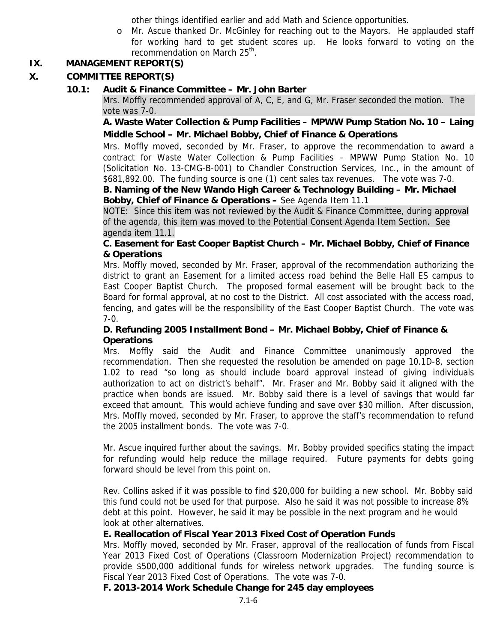other things identified earlier and add Math and Science opportunities.

o Mr. Ascue thanked Dr. McGinley for reaching out to the Mayors. He applauded staff for working hard to get student scores up. He looks forward to voting on the recommendation on March 25<sup>th</sup>.

# **IX. MANAGEMENT REPORT(S)**

# **X. COMMITTEE REPORT(S)**

# **10.1: Audit & Finance Committee – Mr. John Barter**

Mrs. Moffly recommended approval of A, C, E, and G, Mr. Fraser seconded the motion. The vote was 7-0.

 **A. Waste Water Collection & Pump Facilities – MPWW Pump Station No. 10 – Laing Middle School – Mr. Michael Bobby, Chief of Finance & Operations** 

Mrs. Moffly moved, seconded by Mr. Fraser, to approve the recommendation to award a contract for Waste Water Collection & Pump Facilities – MPWW Pump Station No. 10 (Solicitation No. 13-CMG-B-001) to Chandler Construction Services, Inc., in the amount of \$681,892.00. The funding source is one (1) cent sales tax revenues. The vote was 7-0.

#### **B. Naming of the New Wando High Career & Technology Building – Mr. Michael Bobby, Chief of Finance & Operations –** See Agenda Item 11.1

NOTE: Since this item was not reviewed by the Audit & Finance Committee, during approval of the agenda, this item was moved to the Potential Consent Agenda Item Section. See agenda item 11.1.

# **C. Easement for East Cooper Baptist Church – Mr. Michael Bobby, Chief of Finance & Operations**

Mrs. Moffly moved, seconded by Mr. Fraser, approval of the recommendation authorizing the district to grant an Easement for a limited access road behind the Belle Hall ES campus to East Cooper Baptist Church. The proposed formal easement will be brought back to the Board for formal approval, at no cost to the District. All cost associated with the access road, fencing, and gates will be the responsibility of the East Cooper Baptist Church. The vote was 7-0.

# **D. Refunding 2005 Installment Bond – Mr. Michael Bobby, Chief of Finance & Operations**

Mrs. Moffly said the Audit and Finance Committee unanimously approved the recommendation. Then she requested the resolution be amended on page 10.1D-8, section 1.02 to read "so long as should include board approval instead of giving individuals authorization to act on district's behalf". Mr. Fraser and Mr. Bobby said it aligned with the practice when bonds are issued. Mr. Bobby said there is a level of savings that would far exceed that amount. This would achieve funding and save over \$30 million. After discussion, Mrs. Moffly moved, seconded by Mr. Fraser, to approve the staff's recommendation to refund the 2005 installment bonds. The vote was 7-0.

Mr. Ascue inquired further about the savings. Mr. Bobby provided specifics stating the impact for refunding would help reduce the millage required. Future payments for debts going forward should be level from this point on.

Rev. Collins asked if it was possible to find \$20,000 for building a new school. Mr. Bobby said this fund could not be used for that purpose. Also he said it was not possible to increase 8% debt at this point. However, he said it may be possible in the next program and he would look at other alternatives.

### **E. Reallocation of Fiscal Year 2013 Fixed Cost of Operation Funds**

Mrs. Moffly moved, seconded by Mr. Fraser, approval of the reallocation of funds from Fiscal Year 2013 Fixed Cost of Operations (Classroom Modernization Project) recommendation to provide \$500,000 additional funds for wireless network upgrades. The funding source is Fiscal Year 2013 Fixed Cost of Operations. The vote was 7-0.

# **F. 2013-2014 Work Schedule Change for 245 day employees**